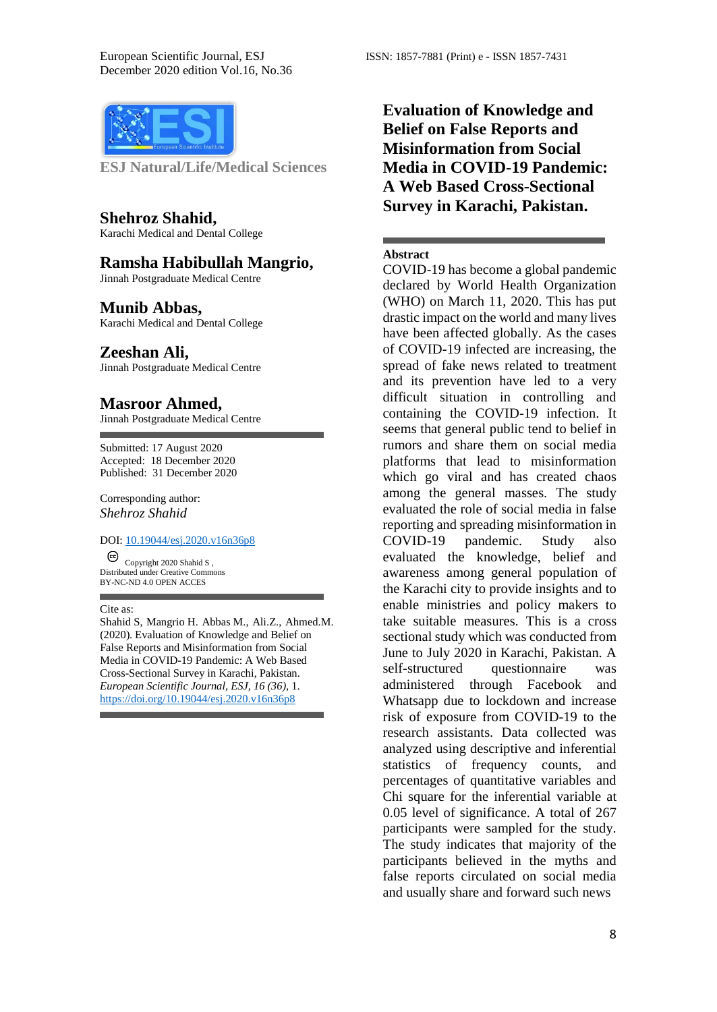

**ESJ Natural/Life/Medical Sciences** 

**Shehroz Shahid,** Karachi Medical and Dental College

## **Ramsha Habibullah Mangrio,**

Jinnah Postgraduate Medical Centre

#### **Munib Abbas,**

Karachi Medical and Dental College

#### **Zeeshan Ali,**

Jinnah Postgraduate Medical Centre

#### **Masroor Ahmed,**

Jinnah Postgraduate Medical Centre

Submitted: 17 August 2020 Accepted: 18 December 2020 Published: 31 December 2020

#### Corresponding author: *Shehroz Shahid*

# DOI: 10.19044/esj.2020.v16n36p8

 $\overline{\text{Copyright } 2020 \text{ Shahid S}}$ , Distributed under Creative Commons BY-NC-ND 4.0 OPEN ACCES

#### Cite as:

Shahid S, Mangrio H. Abbas M., Ali.Z., Ahmed.M. (2020). Evaluation of Knowledge and Belief on False Reports and Misinformation from Social Media in COVID-19 Pandemic: A Web Based Cross-Sectional Survey in Karachi, Pakistan. *European Scientific Journal, ESJ, 16 (36)*, 1. <https://doi.org/10.19044/esj.2020.v16n36p8>

**Evaluation of Knowledge and Belief on False Reports and Misinformation from Social Media in COVID-19 Pandemic: A Web Based Cross-Sectional Survey in Karachi, Pakistan.**

### **Abstract**

COVID-19 has become a global pandemic declared by World Health Organization (WHO) on March 11, 2020. This has put drastic impact on the world and many lives have been affected globally. As the cases of COVID-19 infected are increasing, the spread of fake news related to treatment and its prevention have led to a very difficult situation in controlling and containing the COVID-19 infection. It seems that general public tend to belief in rumors and share them on social media platforms that lead to misinformation which go viral and has created chaos among the general masses. The study evaluated the role of social media in false reporting and spreading misinformation in COVID-19 pandemic. Study also evaluated the knowledge, belief and awareness among general population of the Karachi city to provide insights and to enable ministries and policy makers to take suitable measures. This is a cross sectional study which was conducted from June to July 2020 in Karachi, Pakistan. A self-structured questionnaire was administered through Facebook and Whatsapp due to lockdown and increase risk of exposure from COVID-19 to the research assistants. Data collected was analyzed using descriptive and inferential statistics of frequency counts, and percentages of quantitative variables and Chi square for the inferential variable at 0.05 level of significance. A total of 267 participants were sampled for the study. The study indicates that majority of the participants believed in the myths and false reports circulated on social media and usually share and forward such news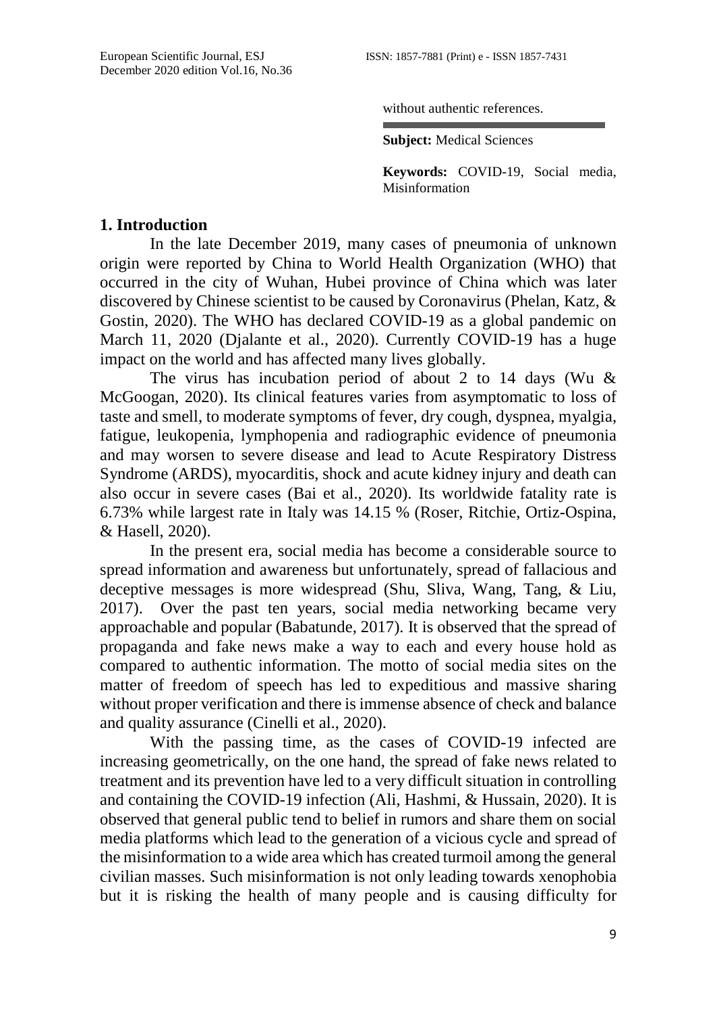without authentic references.

**Subject:** Medical Sciences

**Keywords:** COVID-19, Social media, **Misinformation** 

# **1. Introduction**

In the late December 2019, many cases of pneumonia of unknown origin were reported by China to World Health Organization (WHO) that occurred in the city of Wuhan, Hubei province of China which was later discovered by Chinese scientist to be caused by Coronavirus (Phelan, Katz, & Gostin, 2020). The WHO has declared COVID-19 as a global pandemic on March 11, 2020 (Djalante et al., 2020). Currently COVID-19 has a huge impact on the world and has affected many lives globally.

The virus has incubation period of about 2 to 14 days (Wu & McGoogan, 2020). Its clinical features varies from asymptomatic to loss of taste and smell, to moderate symptoms of fever, dry cough, dyspnea, myalgia, fatigue, leukopenia, lymphopenia and radiographic evidence of pneumonia and may worsen to severe disease and lead to Acute Respiratory Distress Syndrome (ARDS), myocarditis, shock and acute kidney injury and death can also occur in severe cases (Bai et al., 2020). Its worldwide fatality rate is 6.73% while largest rate in Italy was 14.15 % (Roser, Ritchie, Ortiz-Ospina, & Hasell, 2020).

In the present era, social media has become a considerable source to spread information and awareness but unfortunately, spread of fallacious and deceptive messages is more widespread (Shu, Sliva, Wang, Tang, & Liu, 2017). Over the past ten years, social media networking became very approachable and popular (Babatunde, 2017). It is observed that the spread of propaganda and fake news make a way to each and every house hold as compared to authentic information. The motto of social media sites on the matter of freedom of speech has led to expeditious and massive sharing without proper verification and there is immense absence of check and balance and quality assurance (Cinelli et al., 2020).

With the passing time, as the cases of COVID-19 infected are increasing geometrically, on the one hand, the spread of fake news related to treatment and its prevention have led to a very difficult situation in controlling and containing the COVID-19 infection (Ali, Hashmi, & Hussain, 2020). It is observed that general public tend to belief in rumors and share them on social media platforms which lead to the generation of a vicious cycle and spread of the misinformation to a wide area which has created turmoil among the general civilian masses. Such misinformation is not only leading towards xenophobia but it is risking the health of many people and is causing difficulty for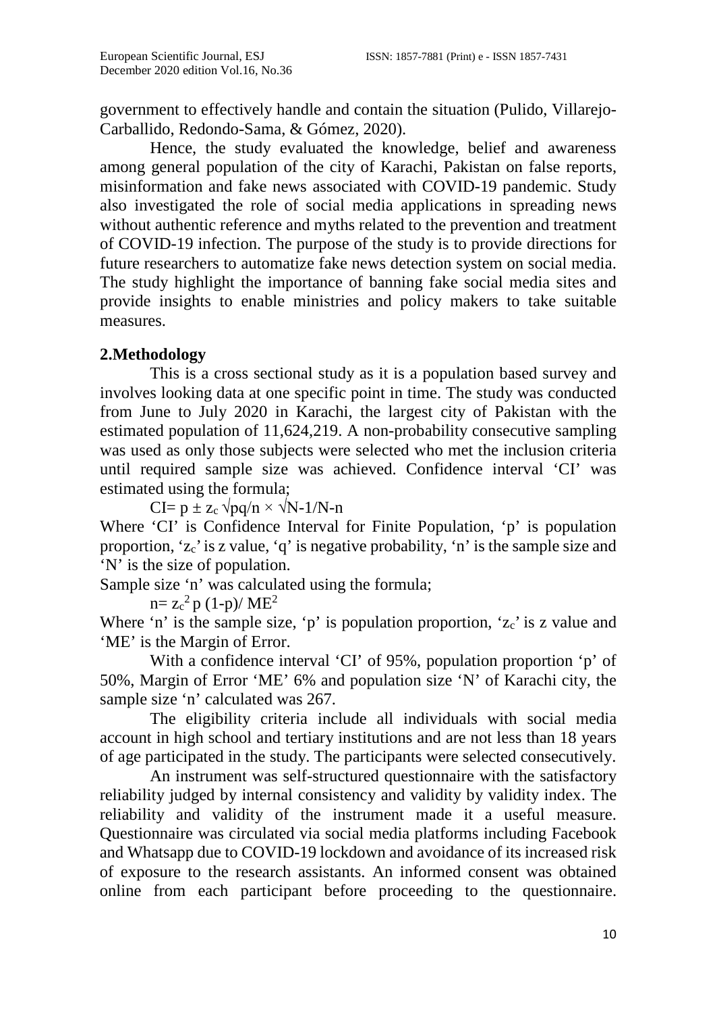government to effectively handle and contain the situation (Pulido, Villarejo-Carballido, Redondo-Sama, & Gómez, 2020).

Hence, the study evaluated the knowledge, belief and awareness among general population of the city of Karachi, Pakistan on false reports, misinformation and fake news associated with COVID-19 pandemic. Study also investigated the role of social media applications in spreading news without authentic reference and myths related to the prevention and treatment of COVID-19 infection. The purpose of the study is to provide directions for future researchers to automatize fake news detection system on social media. The study highlight the importance of banning fake social media sites and provide insights to enable ministries and policy makers to take suitable measures.

# **2.Methodology**

This is a cross sectional study as it is a population based survey and involves looking data at one specific point in time. The study was conducted from June to July 2020 in Karachi, the largest city of Pakistan with the estimated population of 11,624,219. A non-probability consecutive sampling was used as only those subjects were selected who met the inclusion criteria until required sample size was achieved. Confidence interval 'CI' was estimated using the formula;

 $CI= p \pm z_c \sqrt{pq/n} \times \sqrt{N-1/N-n}$ 

Where 'CI' is Confidence Interval for Finite Population, 'p' is population proportion, 'zc'is z value, 'q' is negative probability, 'n' is the sample size and 'N' is the size of population.

Sample size 'n' was calculated using the formula;

 $n= z_c^2 p (1-p)/ME^2$ 

Where 'n' is the sample size, 'p' is population proportion, 'z<sub>c</sub>' is z value and 'ME' is the Margin of Error.

With a confidence interval 'CI' of 95%, population proportion 'p' of 50%, Margin of Error 'ME' 6% and population size 'N' of Karachi city, the sample size 'n' calculated was 267.

The eligibility criteria include all individuals with social media account in high school and tertiary institutions and are not less than 18 years of age participated in the study. The participants were selected consecutively.

An instrument was self-structured questionnaire with the satisfactory reliability judged by internal consistency and validity by validity index. The reliability and validity of the instrument made it a useful measure. Questionnaire was circulated via social media platforms including Facebook and Whatsapp due to COVID-19 lockdown and avoidance of its increased risk of exposure to the research assistants. An informed consent was obtained online from each participant before proceeding to the questionnaire.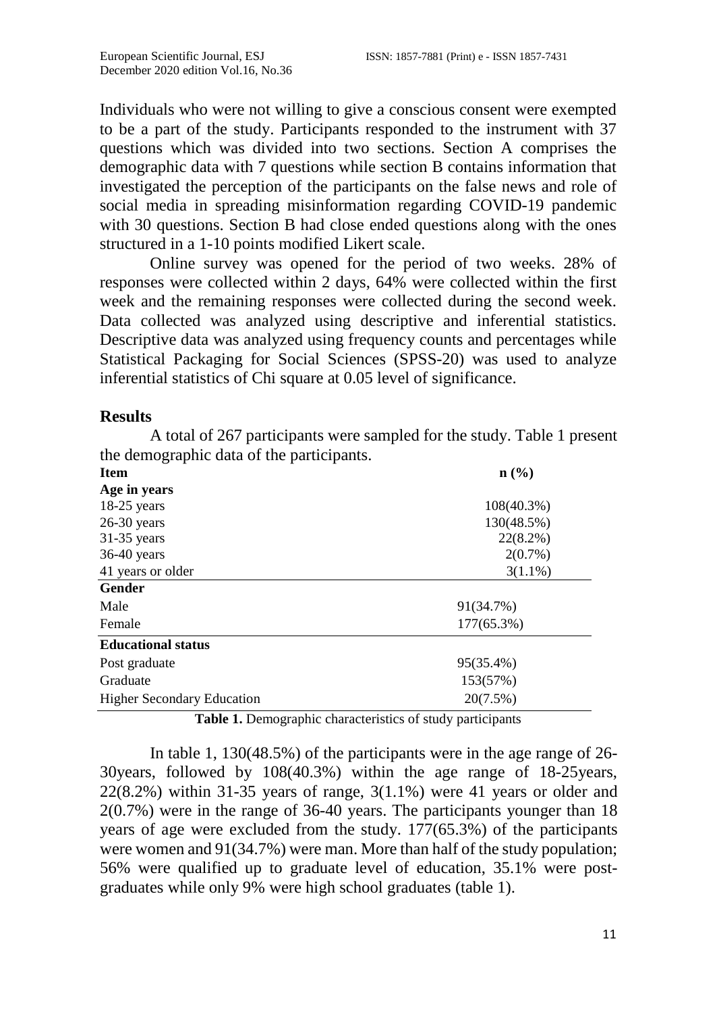Individuals who were not willing to give a conscious consent were exempted to be a part of the study. Participants responded to the instrument with 37 questions which was divided into two sections. Section A comprises the demographic data with 7 questions while section B contains information that investigated the perception of the participants on the false news and role of social media in spreading misinformation regarding COVID-19 pandemic with 30 questions. Section B had close ended questions along with the ones structured in a 1-10 points modified Likert scale.

Online survey was opened for the period of two weeks. 28% of responses were collected within 2 days, 64% were collected within the first week and the remaining responses were collected during the second week. Data collected was analyzed using descriptive and inferential statistics. Descriptive data was analyzed using frequency counts and percentages while Statistical Packaging for Social Sciences (SPSS-20) was used to analyze inferential statistics of Chi square at 0.05 level of significance.

# **Results**

A total of 267 participants were sampled for the study. Table 1 present the demographic data of the participants.

| <b>Item</b>                       | n(%)                                                     |  |  |
|-----------------------------------|----------------------------------------------------------|--|--|
| Age in years                      |                                                          |  |  |
| $18-25$ years                     | $108(40.3\%)$<br>130(48.5%)<br>$22(8.2\%)$<br>$2(0.7\%)$ |  |  |
| $26-30$ years                     |                                                          |  |  |
| $31-35$ years                     |                                                          |  |  |
| $36-40$ years                     |                                                          |  |  |
| 41 years or older                 | $3(1.1\%)$                                               |  |  |
| Gender                            |                                                          |  |  |
| Male                              | 91(34.7%)                                                |  |  |
| Female                            | 177(65.3%)                                               |  |  |
| <b>Educational status</b>         |                                                          |  |  |
| Post graduate                     | 95(35.4%)                                                |  |  |
| Graduate                          | 153(57%)                                                 |  |  |
| <b>Higher Secondary Education</b> | 20(7.5%)                                                 |  |  |

**Table 1.** Demographic characteristics of study participants

In table 1, 130(48.5%) of the participants were in the age range of 26- 30years, followed by 108(40.3%) within the age range of 18-25years,  $22(8.2%)$  within 31-35 years of range,  $3(1.1%)$  were 41 years or older and 2(0.7%) were in the range of 36-40 years. The participants younger than 18 years of age were excluded from the study. 177(65.3%) of the participants were women and 91(34.7%) were man. More than half of the study population; 56% were qualified up to graduate level of education, 35.1% were postgraduates while only 9% were high school graduates (table 1).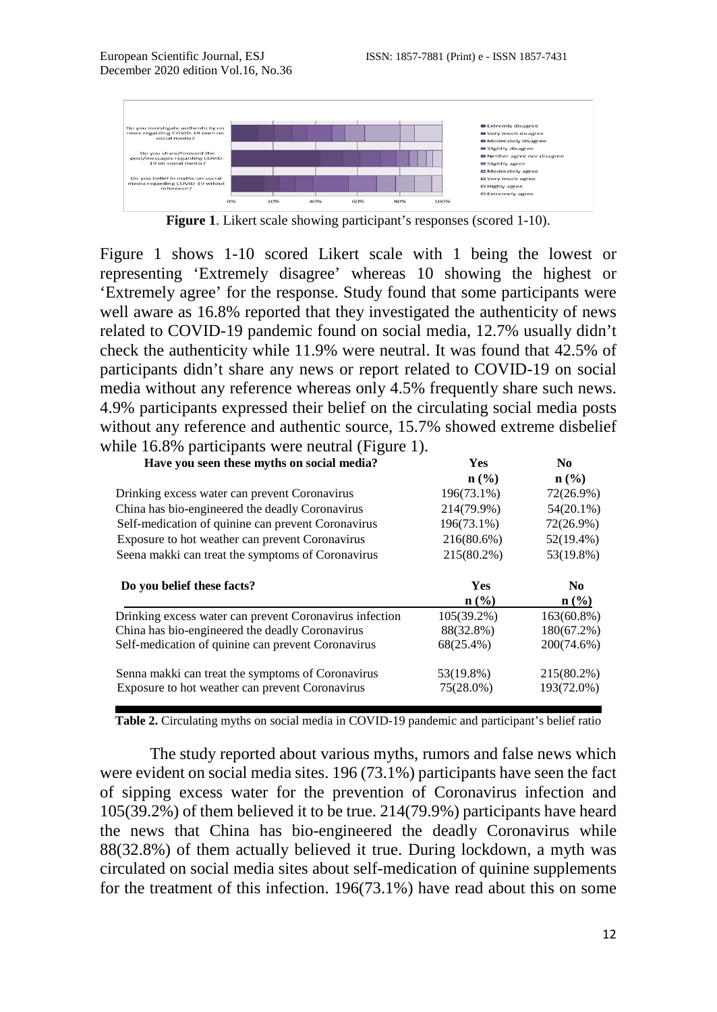

**Figure 1**. Likert scale showing participant's responses (scored 1-10).

Figure 1 shows 1-10 scored Likert scale with 1 being the lowest or representing 'Extremely disagree' whereas 10 showing the highest or 'Extremely agree' for the response. Study found that some participants were well aware as 16.8% reported that they investigated the authenticity of news related to COVID-19 pandemic found on social media, 12.7% usually didn't check the authenticity while 11.9% were neutral. It was found that 42.5% of participants didn't share any news or report related to COVID-19 on social media without any reference whereas only 4.5% frequently share such news. 4.9% participants expressed their belief on the circulating social media posts without any reference and authentic source, 15.7% showed extreme disbelief while 16.8% participants were neutral (Figure 1).

| Have you seen these myths on social media?                                                                                                               | <b>Yes</b>                             | No.                                       |                                                   |            |                |
|----------------------------------------------------------------------------------------------------------------------------------------------------------|----------------------------------------|-------------------------------------------|---------------------------------------------------|------------|----------------|
|                                                                                                                                                          | $\mathbf{n}(\%)$                       | $\mathbf{n}(\%)$                          |                                                   |            |                |
| Drinking excess water can prevent Coronavirus                                                                                                            | 196(73.1%)                             | 72(26.9%)                                 |                                                   |            |                |
| China has bio-engineered the deadly Coronavirus<br>Self-medication of quinine can prevent Coronavirus<br>Exposure to hot weather can prevent Coronavirus | 214(79.9%)<br>196(73.1%)<br>216(80.6%) | $54(20.1\%)$<br>72(26.9%)<br>$52(19.4\%)$ |                                                   |            |                |
|                                                                                                                                                          |                                        |                                           | Seena makki can treat the symptoms of Coronavirus | 215(80.2%) | 53(19.8%)      |
|                                                                                                                                                          |                                        |                                           | Do you belief these facts?                        | <b>Yes</b> | N <sub>0</sub> |
|                                                                                                                                                          | $n\left(\frac{0}{0}\right)$            | $\mathbf{n}(\%)$                          |                                                   |            |                |
|                                                                                                                                                          |                                        |                                           |                                                   |            |                |
| Drinking excess water can prevent Coronavirus infection                                                                                                  | $105(39.2\%)$                          | $163(60.8\%)$                             |                                                   |            |                |
| China has bio-engineered the deadly Coronavirus                                                                                                          | 88(32.8%)                              |                                           |                                                   |            |                |
| Self-medication of quinine can prevent Coronavirus                                                                                                       | $68(25.4\%)$                           | 200(74.6%)                                |                                                   |            |                |
|                                                                                                                                                          | 53(19.8%)                              | $180(67.2\%)$<br>215(80.2%)               |                                                   |            |                |
| Senna makki can treat the symptoms of Coronavirus<br>Exposure to hot weather can prevent Coronavirus                                                     | 75(28.0%)                              | 193(72.0%)                                |                                                   |            |                |

**Table 2.** Circulating myths on social media in COVID-19 pandemic and participant's belief ratio

The study reported about various myths, rumors and false news which were evident on social media sites. 196 (73.1%) participants have seen the fact of sipping excess water for the prevention of Coronavirus infection and 105(39.2%) of them believed it to be true. 214(79.9%) participants have heard the news that China has bio-engineered the deadly Coronavirus while 88(32.8%) of them actually believed it true. During lockdown, a myth was circulated on social media sites about self-medication of quinine supplements for the treatment of this infection. 196(73.1%) have read about this on some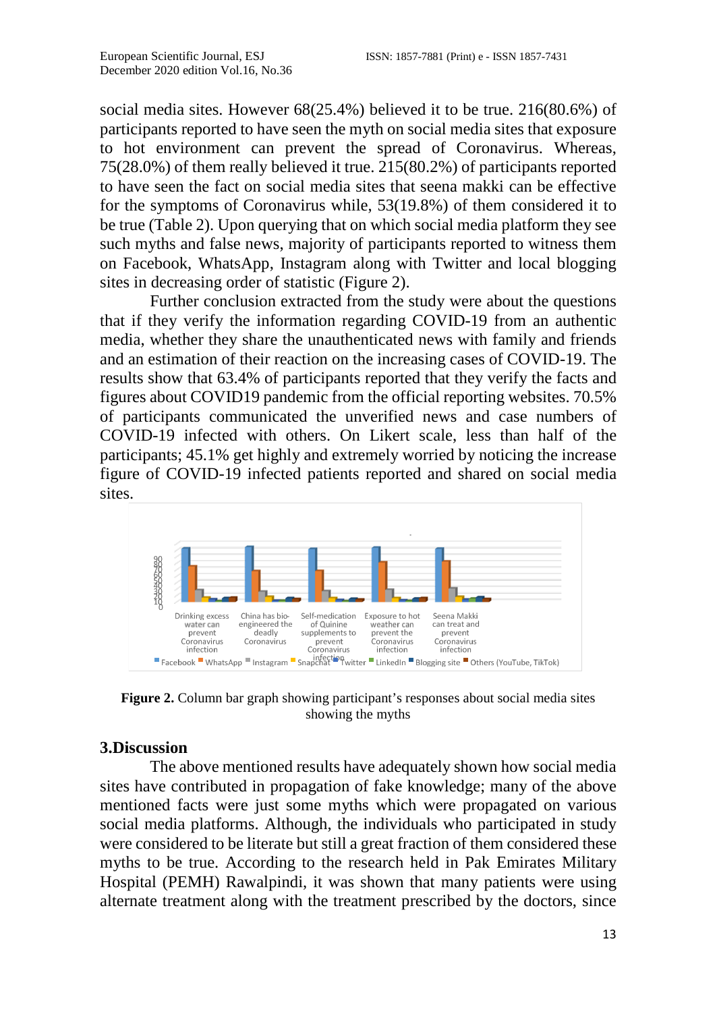social media sites. However 68(25.4%) believed it to be true. 216(80.6%) of participants reported to have seen the myth on social media sites that exposure to hot environment can prevent the spread of Coronavirus. Whereas, 75(28.0%) of them really believed it true. 215(80.2%) of participants reported to have seen the fact on social media sites that seena makki can be effective for the symptoms of Coronavirus while, 53(19.8%) of them considered it to be true (Table 2). Upon querying that on which social media platform they see such myths and false news, majority of participants reported to witness them on Facebook, WhatsApp, Instagram along with Twitter and local blogging sites in decreasing order of statistic (Figure 2).

Further conclusion extracted from the study were about the questions that if they verify the information regarding COVID-19 from an authentic media, whether they share the unauthenticated news with family and friends and an estimation of their reaction on the increasing cases of COVID-19. The results show that 63.4% of participants reported that they verify the facts and figures about COVID19 pandemic from the official reporting websites. 70.5% of participants communicated the unverified news and case numbers of COVID-19 infected with others. On Likert scale, less than half of the participants; 45.1% get highly and extremely worried by noticing the increase figure of COVID-19 infected patients reported and shared on social media sites.



**Figure 2.** Column bar graph showing participant's responses about social media sites showing the myths

# **3.Discussion**

The above mentioned results have adequately shown how social media sites have contributed in propagation of fake knowledge; many of the above mentioned facts were just some myths which were propagated on various social media platforms. Although, the individuals who participated in study were considered to be literate but still a great fraction of them considered these myths to be true. According to the research held in Pak Emirates Military Hospital (PEMH) Rawalpindi, it was shown that many patients were using alternate treatment along with the treatment prescribed by the doctors, since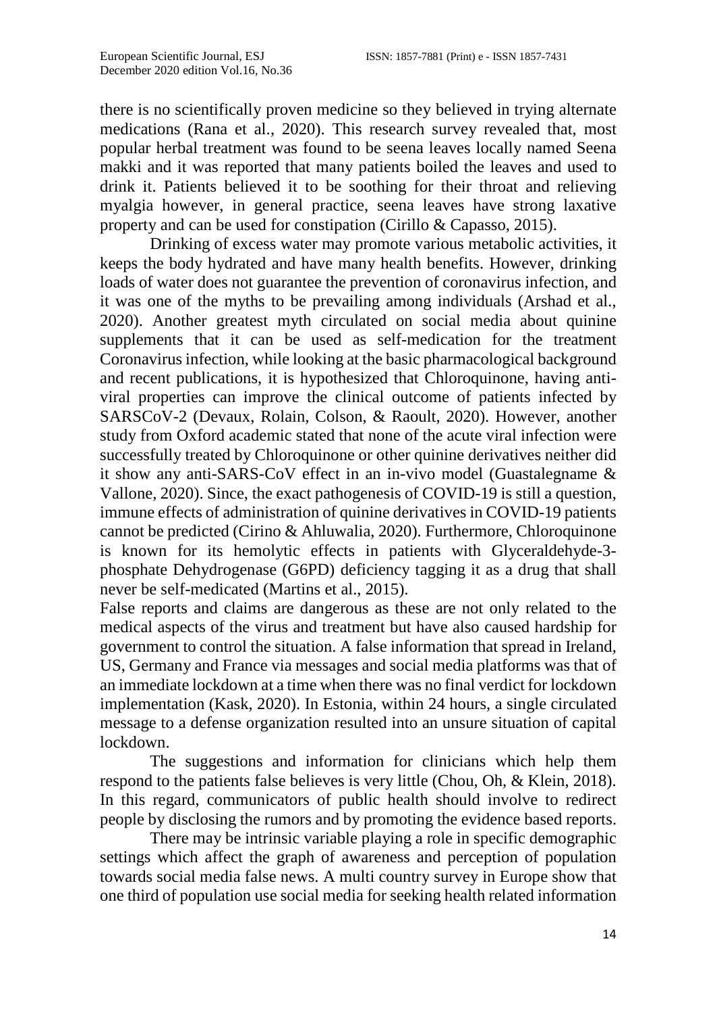there is no scientifically proven medicine so they believed in trying alternate medications (Rana et al., 2020). This research survey revealed that, most popular herbal treatment was found to be seena leaves locally named Seena makki and it was reported that many patients boiled the leaves and used to drink it. Patients believed it to be soothing for their throat and relieving myalgia however, in general practice, seena leaves have strong laxative property and can be used for constipation (Cirillo & Capasso, 2015).

Drinking of excess water may promote various metabolic activities, it keeps the body hydrated and have many health benefits. However, drinking loads of water does not guarantee the prevention of coronavirus infection, and it was one of the myths to be prevailing among individuals (Arshad et al., 2020). Another greatest myth circulated on social media about quinine supplements that it can be used as self-medication for the treatment Coronavirus infection, while looking at the basic pharmacological background and recent publications, it is hypothesized that Chloroquinone, having antiviral properties can improve the clinical outcome of patients infected by SARSCoV-2 (Devaux, Rolain, Colson, & Raoult, 2020). However, another study from Oxford academic stated that none of the acute viral infection were successfully treated by Chloroquinone or other quinine derivatives neither did it show any anti-SARS-CoV effect in an in-vivo model (Guastalegname & Vallone, 2020). Since, the exact pathogenesis of COVID-19 is still a question, immune effects of administration of quinine derivatives in COVID-19 patients cannot be predicted (Cirino & Ahluwalia, 2020). Furthermore, Chloroquinone is known for its hemolytic effects in patients with Glyceraldehyde-3 phosphate Dehydrogenase (G6PD) deficiency tagging it as a drug that shall never be self-medicated (Martins et al., 2015).

False reports and claims are dangerous as these are not only related to the medical aspects of the virus and treatment but have also caused hardship for government to control the situation. A false information that spread in Ireland, US, Germany and France via messages and social media platforms was that of an immediate lockdown at a time when there was no final verdict for lockdown implementation (Kask, 2020). In Estonia, within 24 hours, a single circulated message to a defense organization resulted into an unsure situation of capital lockdown.

The suggestions and information for clinicians which help them respond to the patients false believes is very little (Chou, Oh, & Klein, 2018). In this regard, communicators of public health should involve to redirect people by disclosing the rumors and by promoting the evidence based reports.

There may be intrinsic variable playing a role in specific demographic settings which affect the graph of awareness and perception of population towards social media false news. A multi country survey in Europe show that one third of population use social media for seeking health related information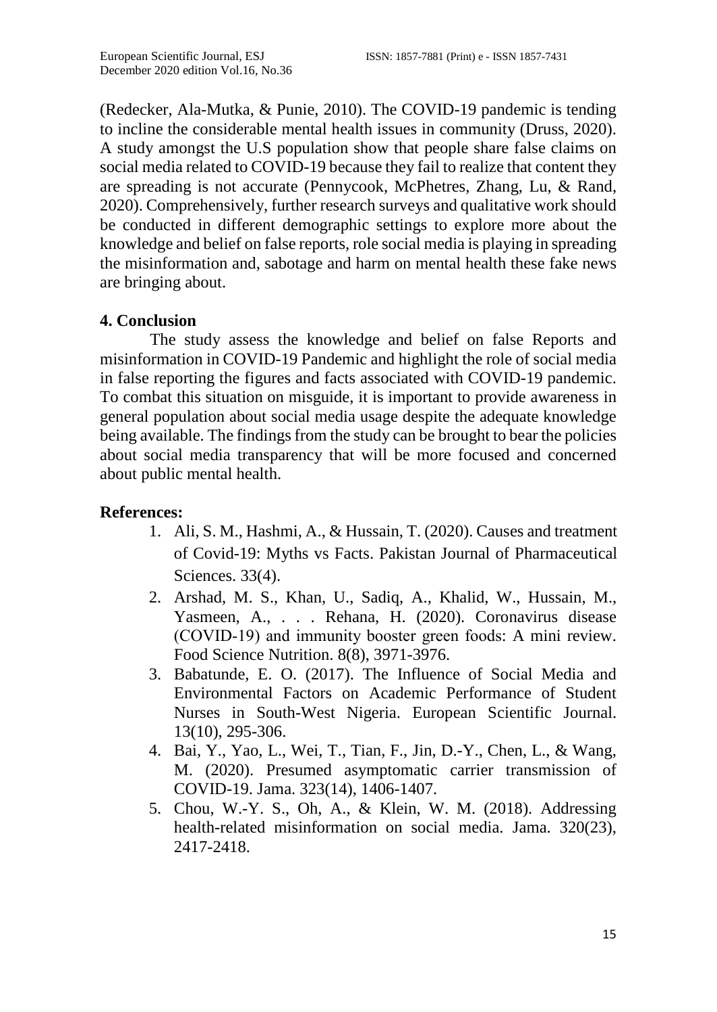(Redecker, Ala-Mutka, & Punie, 2010). The COVID-19 pandemic is tending to incline the considerable mental health issues in community (Druss, 2020). A study amongst the U.S population show that people share false claims on social media related to COVID-19 because they fail to realize that content they are spreading is not accurate (Pennycook, McPhetres, Zhang, Lu, & Rand, 2020). Comprehensively, further research surveys and qualitative work should be conducted in different demographic settings to explore more about the knowledge and belief on false reports, role social media is playing in spreading the misinformation and, sabotage and harm on mental health these fake news are bringing about.

# **4. Conclusion**

The study assess the knowledge and belief on false Reports and misinformation in COVID-19 Pandemic and highlight the role of social media in false reporting the figures and facts associated with COVID-19 pandemic. To combat this situation on misguide, it is important to provide awareness in general population about social media usage despite the adequate knowledge being available. The findings from the study can be brought to bear the policies about social media transparency that will be more focused and concerned about public mental health.

# **References:**

- 1. Ali, S. M., Hashmi, A., & Hussain, T. (2020). Causes and treatment of Covid-19: Myths vs Facts. Pakistan Journal of Pharmaceutical Sciences. 33(4).
- 2. Arshad, M. S., Khan, U., Sadiq, A., Khalid, W., Hussain, M., Yasmeen, A., . . . Rehana, H. (2020). Coronavirus disease (COVID‐19) and immunity booster green foods: A mini review. Food Science Nutrition. 8(8), 3971-3976.
- 3. Babatunde, E. O. (2017). The Influence of Social Media and Environmental Factors on Academic Performance of Student Nurses in South-West Nigeria. European Scientific Journal. 13(10), 295-306.
- 4. Bai, Y., Yao, L., Wei, T., Tian, F., Jin, D.-Y., Chen, L., & Wang, M. (2020). Presumed asymptomatic carrier transmission of COVID-19. Jama. 323(14), 1406-1407.
- 5. Chou, W.-Y. S., Oh, A., & Klein, W. M. (2018). Addressing health-related misinformation on social media. Jama. 320(23), 2417-2418.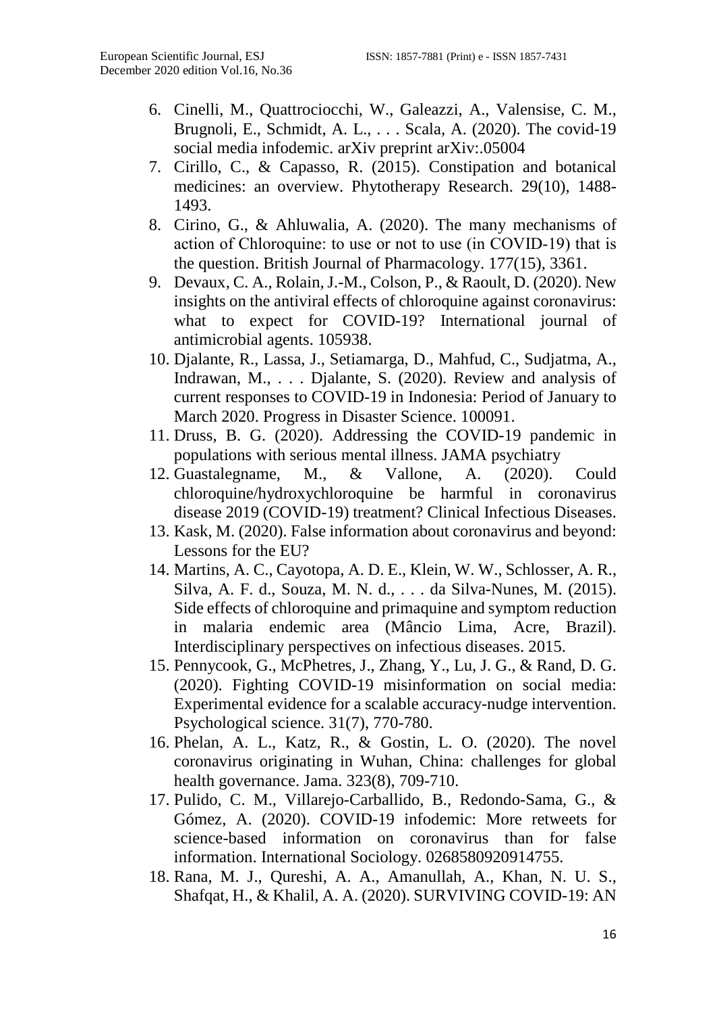- 6. Cinelli, M., Quattrociocchi, W., Galeazzi, A., Valensise, C. M., Brugnoli, E., Schmidt, A. L., . . . Scala, A. (2020). The covid-19 social media infodemic. arXiv preprint arXiv:.05004
- 7. Cirillo, C., & Capasso, R. (2015). Constipation and botanical medicines: an overview. Phytotherapy Research. 29(10), 1488- 1493.
- 8. Cirino, G., & Ahluwalia, A. (2020). The many mechanisms of action of Chloroquine: to use or not to use (in COVID‐19) that is the question. British Journal of Pharmacology. 177(15), 3361.
- 9. Devaux, C. A., Rolain, J.-M., Colson, P., & Raoult, D. (2020). New insights on the antiviral effects of chloroquine against coronavirus: what to expect for COVID-19? International journal of antimicrobial agents. 105938.
- 10. Djalante, R., Lassa, J., Setiamarga, D., Mahfud, C., Sudjatma, A., Indrawan, M., . . . Djalante, S. (2020). Review and analysis of current responses to COVID-19 in Indonesia: Period of January to March 2020. Progress in Disaster Science. 100091.
- 11. Druss, B. G. (2020). Addressing the COVID-19 pandemic in populations with serious mental illness. JAMA psychiatry
- 12. Guastalegname, M., & Vallone, A. (2020). Could chloroquine/hydroxychloroquine be harmful in coronavirus disease 2019 (COVID-19) treatment? Clinical Infectious Diseases.
- 13. Kask, M. (2020). False information about coronavirus and beyond: Lessons for the EU?
- 14. Martins, A. C., Cayotopa, A. D. E., Klein, W. W., Schlosser, A. R., Silva, A. F. d., Souza, M. N. d., . . . da Silva-Nunes, M. (2015). Side effects of chloroquine and primaquine and symptom reduction in malaria endemic area (Mâncio Lima, Acre, Brazil). Interdisciplinary perspectives on infectious diseases. 2015.
- 15. Pennycook, G., McPhetres, J., Zhang, Y., Lu, J. G., & Rand, D. G. (2020). Fighting COVID-19 misinformation on social media: Experimental evidence for a scalable accuracy-nudge intervention. Psychological science. 31(7), 770-780.
- 16. Phelan, A. L., Katz, R., & Gostin, L. O. (2020). The novel coronavirus originating in Wuhan, China: challenges for global health governance. Jama. 323(8), 709-710.
- 17. Pulido, C. M., Villarejo-Carballido, B., Redondo-Sama, G., & Gómez, A. (2020). COVID-19 infodemic: More retweets for science-based information on coronavirus than for false information. International Sociology. 0268580920914755.
- 18. Rana, M. J., Qureshi, A. A., Amanullah, A., Khan, N. U. S., Shafqat, H., & Khalil, A. A. (2020). SURVIVING COVID-19: AN